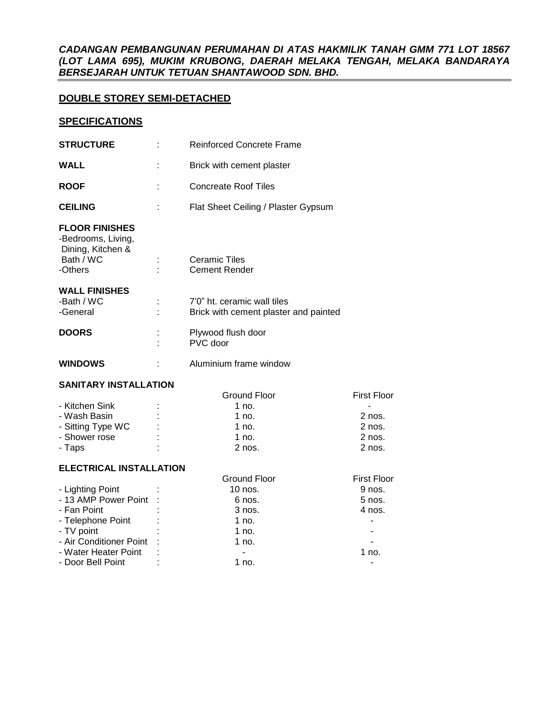# *CADANGAN PEMBANGUNAN PERUMAHAN DI ATAS HAKMILIK TANAH GMM 771 LOT 18567 (LOT LAMA 695), MUKIM KRUBONG, DAERAH MELAKA TENGAH, MELAKA BANDARAYA BERSEJARAH UNTUK TETUAN SHANTAWOOD SDN. BHD.*

# **DOUBLE STOREY SEMI-DETACHED**

# **SPECIFICATIONS**

| <b>STRUCTURE</b>                                                                         | <b>Reinforced Concrete Frame</b>                                     |                    |  |  |  |
|------------------------------------------------------------------------------------------|----------------------------------------------------------------------|--------------------|--|--|--|
| <b>WALL</b>                                                                              | Brick with cement plaster                                            |                    |  |  |  |
| <b>ROOF</b>                                                                              | <b>Concreate Roof Tiles</b>                                          |                    |  |  |  |
| <b>CEILING</b>                                                                           | Flat Sheet Ceiling / Plaster Gypsum                                  |                    |  |  |  |
| <b>FLOOR FINISHES</b><br>-Bedrooms, Living,<br>Dining, Kitchen &<br>Bath / WC<br>-Others | <b>Ceramic Tiles</b><br><b>Cement Render</b>                         |                    |  |  |  |
| <b>WALL FINISHES</b><br>-Bath / WC<br>-General                                           | 7'0" ht. ceramic wall tiles<br>Brick with cement plaster and painted |                    |  |  |  |
| <b>DOORS</b>                                                                             | Plywood flush door<br>PVC door                                       |                    |  |  |  |
| <b>WINDOWS</b>                                                                           | Aluminium frame window                                               |                    |  |  |  |
| <b>SANITARY INSTALLATION</b>                                                             |                                                                      |                    |  |  |  |
|                                                                                          | <b>Ground Floor</b>                                                  | <b>First Floor</b> |  |  |  |
| - Kitchen Sink                                                                           | 1 no.                                                                |                    |  |  |  |
| - Wash Basin                                                                             | 1 no.<br>2 nos.                                                      |                    |  |  |  |
| - Sitting Type WC                                                                        | 1 no.                                                                | 2 nos.             |  |  |  |
| - Shower rose                                                                            | 1 no.                                                                | 2 nos.             |  |  |  |
| - Taps                                                                                   | 2 nos.                                                               | 2 nos.             |  |  |  |
| <b>ELECTRICAL INSTALLATION</b>                                                           |                                                                      |                    |  |  |  |
|                                                                                          | <b>Ground Floor</b>                                                  | <b>First Floor</b> |  |  |  |
| - Lighting Point                                                                         | 10 nos.                                                              | 9 nos.             |  |  |  |
| - 13 AMP Power Point                                                                     | $5$ nos.<br>6 nos.                                                   |                    |  |  |  |
| - Fan Point                                                                              | 3 nos.<br>4 nos.                                                     |                    |  |  |  |
| - Telephone Point                                                                        | 1 no.                                                                |                    |  |  |  |
| - TV point                                                                               | $1$ no.                                                              |                    |  |  |  |
| - Air Conditioner Point                                                                  | $1$ no.                                                              |                    |  |  |  |
| - Water Heater Point                                                                     | 1 no.<br>$\blacksquare$                                              |                    |  |  |  |

- Door Bell Point : 1 no.